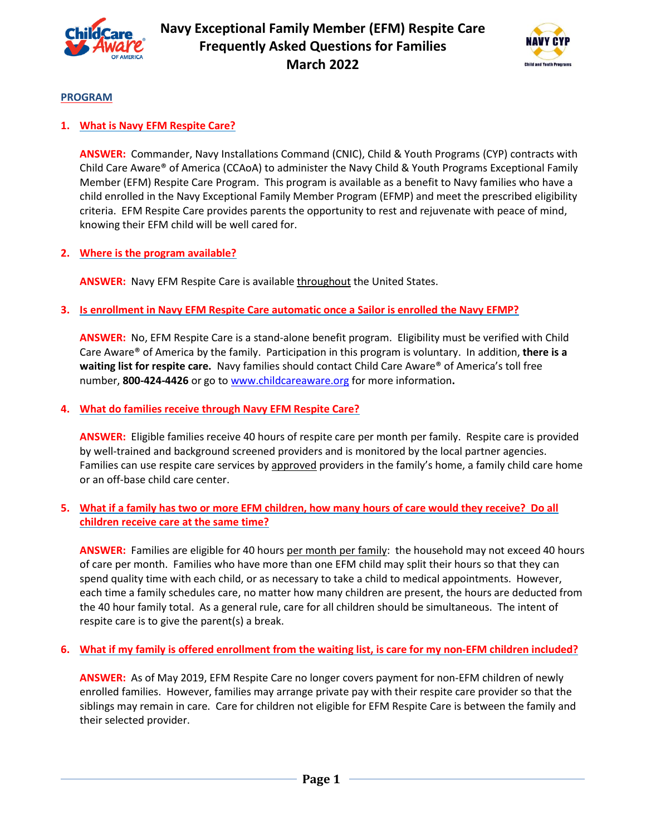



## **PROGRAM**

## **1. What is Navy EFM Respite Care?**

**ANSWER:** Commander, Navy Installations Command (CNIC), Child & Youth Programs (CYP) contracts with Child Care Aware® of America (CCAoA) to administer the Navy Child & Youth Programs Exceptional Family Member (EFM) Respite Care Program. This program is available as a benefit to Navy families who have a child enrolled in the Navy Exceptional Family Member Program (EFMP) and meet the prescribed eligibility criteria. EFM Respite Care provides parents the opportunity to rest and rejuvenate with peace of mind, knowing their EFM child will be well cared for.

## **2. Where is the program available?**

**ANSWER:** Navy EFM Respite Care is available throughout the United States.

## **3. Is enrollment in Navy EFM Respite Care automatic once a Sailor is enrolled the Navy EFMP?**

**ANSWER:** No, EFM Respite Care is a stand-alone benefit program. Eligibility must be verified with Child Care Aware® of America by the family. Participation in this program is voluntary. In addition, **there is a waiting list for respite care.** Navy families should contact Child Care Aware® of America's toll free number, **800-424-4426** or go to www.childcareaware.org for more information**.**

#### **4. What do families receive through Navy EFM Respite Care?**

**ANSWER:** Eligible families receive 40 hours of respite care per month per family. Respite care is provided by well-trained and background screened providers and is monitored by the local partner agencies. Families can use respite care services by approved providers in the family's home, a family child care home or an off-base child care center.

## **5. What if a family has two or more EFM children, how many hours of care would they receive? Do all children receive care at the same time?**

ANSWER: Families are eligible for 40 hours per month per family: the household may not exceed 40 hours of care per month. Families who have more than one EFM child may split their hours so that they can spend quality time with each child, or as necessary to take a child to medical appointments. However, each time a family schedules care, no matter how many children are present, the hours are deducted from the 40 hour family total. As a general rule, care for all children should be simultaneous. The intent of respite care is to give the parent(s) a break.

# **6. What if my family is offered enrollment from the waiting list, is care for my non-EFM children included?**

**ANSWER:** As of May 2019, EFM Respite Care no longer covers payment for non-EFM children of newly enrolled families. However, families may arrange private pay with their respite care provider so that the siblings may remain in care. Care for children not eligible for EFM Respite Care is between the family and their selected provider.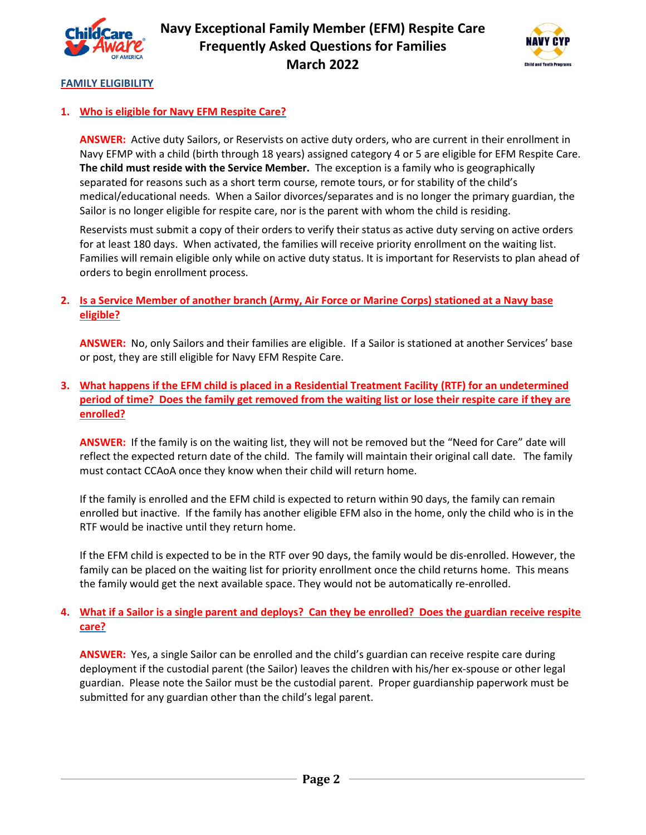



## **FAMILY ELIGIBILITY**

## **1. Who is eligible for Navy EFM Respite Care?**

**ANSWER:** Active duty Sailors, or Reservists on active duty orders, who are current in their enrollment in Navy EFMP with a child (birth through 18 years) assigned category 4 or 5 are eligible for EFM Respite Care. **The child must reside with the Service Member.** The exception is a family who is geographically separated for reasons such as a short term course, remote tours, or for stability of the child's medical/educational needs. When a Sailor divorces/separates and is no longer the primary guardian, the Sailor is no longer eligible for respite care, nor is the parent with whom the child is residing.

Reservists must submit a copy of their orders to verify their status as active duty serving on active orders for at least 180 days. When activated, the families will receive priority enrollment on the waiting list. Families will remain eligible only while on active duty status. It is important for Reservists to plan ahead of orders to begin enrollment process.

## **2. Is a Service Member of another branch (Army, Air Force or Marine Corps) stationed at a Navy base eligible?**

**ANSWER:** No, only Sailors and their families are eligible. If a Sailor is stationed at another Services' base or post, they are still eligible for Navy EFM Respite Care.

# **3. What happens if the EFM child is placed in a Residential Treatment Facility (RTF) for an undetermined period of time? Does the family get removed from the waiting list or lose their respite care if they are enrolled?**

**ANSWER:** If the family is on the waiting list, they will not be removed but the "Need for Care" date will reflect the expected return date of the child. The family will maintain their original call date. The family must contact CCAoA once they know when their child will return home.

If the family is enrolled and the EFM child is expected to return within 90 days, the family can remain enrolled but inactive. If the family has another eligible EFM also in the home, only the child who is in the RTF would be inactive until they return home.

If the EFM child is expected to be in the RTF over 90 days, the family would be dis-enrolled. However, the family can be placed on the waiting list for priority enrollment once the child returns home. This means the family would get the next available space. They would not be automatically re-enrolled.

# **4. What if a Sailor is a single parent and deploys? Can they be enrolled? Does the guardian receive respite care?**

**ANSWER:** Yes, a single Sailor can be enrolled and the child's guardian can receive respite care during deployment if the custodial parent (the Sailor) leaves the children with his/her ex-spouse or other legal guardian. Please note the Sailor must be the custodial parent. Proper guardianship paperwork must be submitted for any guardian other than the child's legal parent.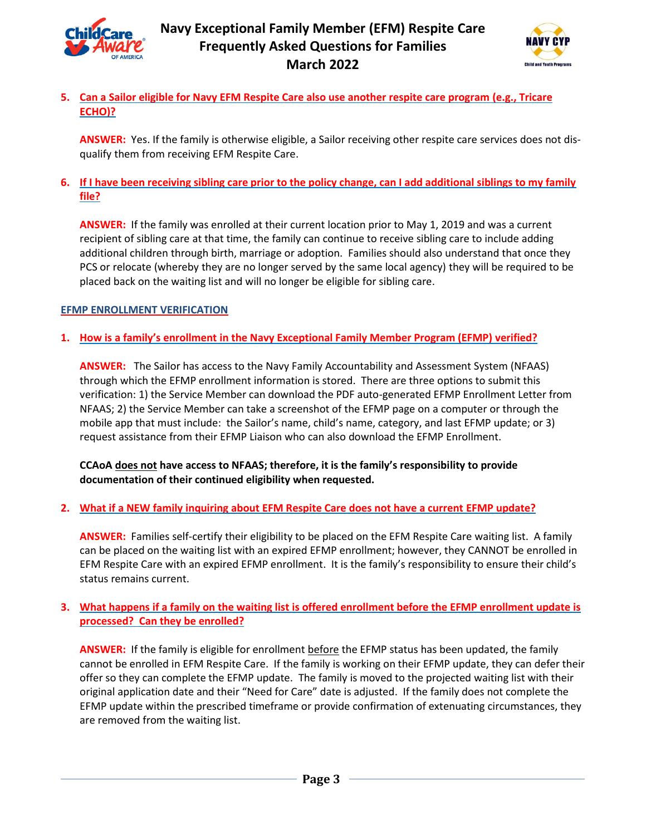



# **5. Can a Sailor eligible for Navy EFM Respite Care also use another respite care program (e.g., Tricare ECHO)?**

**ANSWER:** Yes. If the family is otherwise eligible, a Sailor receiving other respite care services does not disqualify them from receiving EFM Respite Care.

## **6. If I have been receiving sibling care prior to the policy change, can I add additional siblings to my family file?**

**ANSWER:** If the family was enrolled at their current location prior to May 1, 2019 and was a current recipient of sibling care at that time, the family can continue to receive sibling care to include adding additional children through birth, marriage or adoption. Families should also understand that once they PCS or relocate (whereby they are no longer served by the same local agency) they will be required to be placed back on the waiting list and will no longer be eligible for sibling care.

# **EFMP ENROLLMENT VERIFICATION**

# **1. How is a family's enrollment in the Navy Exceptional Family Member Program (EFMP) verified?**

**ANSWER:** The Sailor has access to the Navy Family Accountability and Assessment System (NFAAS) through which the EFMP enrollment information is stored. There are three options to submit this verification: 1) the Service Member can download the PDF auto-generated EFMP Enrollment Letter from NFAAS; 2) the Service Member can take a screenshot of the EFMP page on a computer or through the mobile app that must include: the Sailor's name, child's name, category, and last EFMP update; or 3) request assistance from their EFMP Liaison who can also download the EFMP Enrollment.

**CCAoA does not have access to NFAAS; therefore, it is the family's responsibility to provide documentation of their continued eligibility when requested.** 

# **2. What if a NEW family inquiring about EFM Respite Care does not have a current EFMP update?**

**ANSWER:** Families self-certify their eligibility to be placed on the EFM Respite Care waiting list. A family can be placed on the waiting list with an expired EFMP enrollment; however, they CANNOT be enrolled in EFM Respite Care with an expired EFMP enrollment. It is the family's responsibility to ensure their child's status remains current.

# **3. What happens if a family on the waiting list is offered enrollment before the EFMP enrollment update is processed? Can they be enrolled?**

**ANSWER:** If the family is eligible for enrollment before the EFMP status has been updated, the family cannot be enrolled in EFM Respite Care. If the family is working on their EFMP update, they can defer their offer so they can complete the EFMP update. The family is moved to the projected waiting list with their original application date and their "Need for Care" date is adjusted. If the family does not complete the EFMP update within the prescribed timeframe or provide confirmation of extenuating circumstances, they are removed from the waiting list.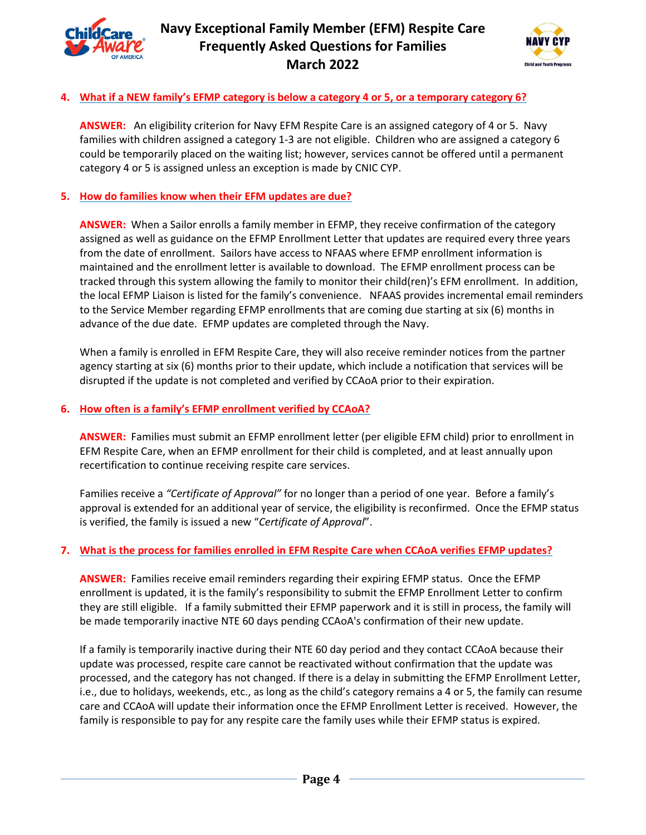



## **4. What if a NEW family's EFMP category is below a category 4 or 5, or a temporary category 6?**

**ANSWER:** An eligibility criterion for Navy EFM Respite Care is an assigned category of 4 or 5. Navy families with children assigned a category 1-3 are not eligible. Children who are assigned a category 6 could be temporarily placed on the waiting list; however, services cannot be offered until a permanent category 4 or 5 is assigned unless an exception is made by CNIC CYP.

#### **5. How do families know when their EFM updates are due?**

**ANSWER:** When a Sailor enrolls a family member in EFMP, they receive confirmation of the category assigned as well as guidance on the EFMP Enrollment Letter that updates are required every three years from the date of enrollment. Sailors have access to NFAAS where EFMP enrollment information is maintained and the enrollment letter is available to download. The EFMP enrollment process can be tracked through this system allowing the family to monitor their child(ren)'s EFM enrollment. In addition, the local EFMP Liaison is listed for the family's convenience. NFAAS provides incremental email reminders to the Service Member regarding EFMP enrollments that are coming due starting at six (6) months in advance of the due date. EFMP updates are completed through the Navy.

When a family is enrolled in EFM Respite Care, they will also receive reminder notices from the partner agency starting at six (6) months prior to their update, which include a notification that services will be disrupted if the update is not completed and verified by CCAoA prior to their expiration.

#### **6. How often is a family's EFMP enrollment verified by CCAoA?**

**ANSWER:** Families must submit an EFMP enrollment letter (per eligible EFM child) prior to enrollment in EFM Respite Care, when an EFMP enrollment for their child is completed, and at least annually upon recertification to continue receiving respite care services.

Families receive a *"Certificate of Approval"* for no longer than a period of one year. Before a family's approval is extended for an additional year of service, the eligibility is reconfirmed. Once the EFMP status is verified, the family is issued a new "*Certificate of Approval*".

#### **7. What is the process for families enrolled in EFM Respite Care when CCAoA verifies EFMP updates?**

**ANSWER:** Families receive email reminders regarding their expiring EFMP status. Once the EFMP enrollment is updated, it is the family's responsibility to submit the EFMP Enrollment Letter to confirm they are still eligible. If a family submitted their EFMP paperwork and it is still in process, the family will be made temporarily inactive NTE 60 days pending CCAoA's confirmation of their new update.

If a family is temporarily inactive during their NTE 60 day period and they contact CCAoA because their update was processed, respite care cannot be reactivated without confirmation that the update was processed, and the category has not changed. If there is a delay in submitting the EFMP Enrollment Letter, i.e., due to holidays, weekends, etc., as long as the child's category remains a 4 or 5, the family can resume care and CCAoA will update their information once the EFMP Enrollment Letter is received. However, the family is responsible to pay for any respite care the family uses while their EFMP status is expired.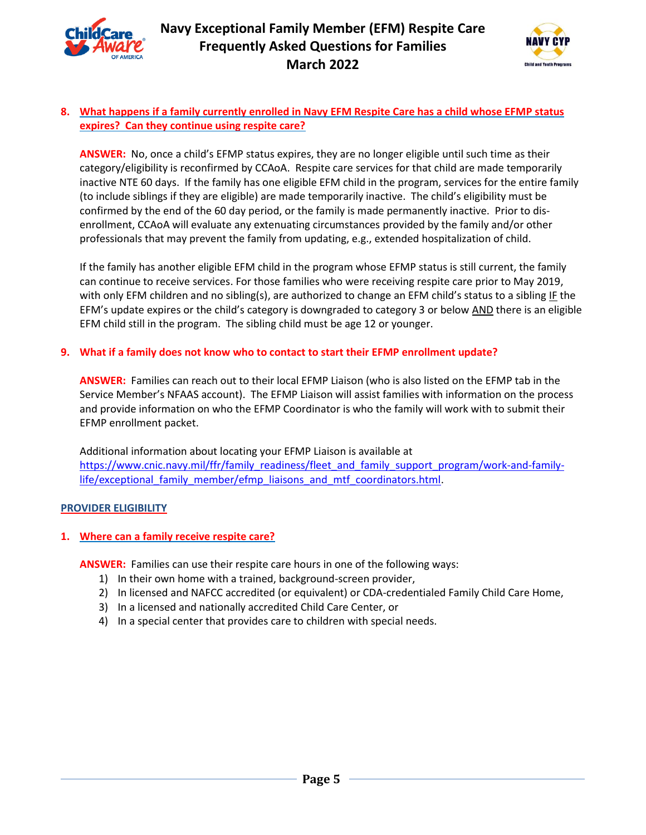



## **8. What happens if a family currently enrolled in Navy EFM Respite Care has a child whose EFMP status expires? Can they continue using respite care?**

**ANSWER:** No, once a child's EFMP status expires, they are no longer eligible until such time as their category/eligibility is reconfirmed by CCAoA. Respite care services for that child are made temporarily inactive NTE 60 days. If the family has one eligible EFM child in the program, services for the entire family (to include siblings if they are eligible) are made temporarily inactive. The child's eligibility must be confirmed by the end of the 60 day period, or the family is made permanently inactive. Prior to disenrollment, CCAoA will evaluate any extenuating circumstances provided by the family and/or other professionals that may prevent the family from updating, e.g., extended hospitalization of child.

If the family has another eligible EFM child in the program whose EFMP status is still current, the family can continue to receive services. For those families who were receiving respite care prior to May 2019, with only EFM children and no sibling(s), are authorized to change an EFM child's status to a sibling IF the EFM's update expires or the child's category is downgraded to category 3 or below AND there is an eligible EFM child still in the program. The sibling child must be age 12 or younger.

## **9. What if a family does not know who to contact to start their EFMP enrollment update?**

**ANSWER:** Families can reach out to their local EFMP Liaison (who is also listed on the EFMP tab in the Service Member's NFAAS account). The EFMP Liaison will assist families with information on the process and provide information on who the EFMP Coordinator is who the family will work with to submit their EFMP enrollment packet.

Additional information about locating your EFMP Liaison is available at https://www.cnic.navy.mil/ffr/family\_readiness/fleet\_and\_family\_support\_program/work-and-familylife/exceptional family member/efmp\_liaisons\_and\_mtf\_coordinators.html.

# **PROVIDER ELIGIBILITY**

# **1. Where can a family receive respite care?**

**ANSWER:** Families can use their respite care hours in one of the following ways:

- 1) In their own home with a trained, background-screen provider,
- 2) In licensed and NAFCC accredited (or equivalent) or CDA-credentialed Family Child Care Home,
- 3) In a licensed and nationally accredited Child Care Center, or
- 4) In a special center that provides care to children with special needs.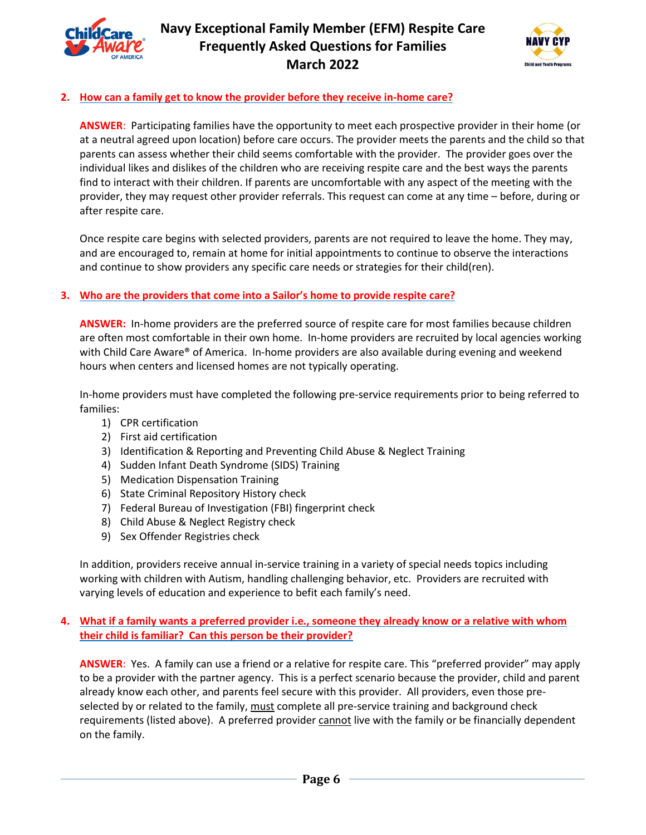



# **2. How can a family get to know the provider before they receive in-home care?**

**ANSWER**: Participating families have the opportunity to meet each prospective provider in their home (or at a neutral agreed upon location) before care occurs. The provider meets the parents and the child so that parents can assess whether their child seems comfortable with the provider. The provider goes over the individual likes and dislikes of the children who are receiving respite care and the best ways the parents find to interact with their children. If parents are uncomfortable with any aspect of the meeting with the provider, they may request other provider referrals. This request can come at any time – before, during or after respite care.

Once respite care begins with selected providers, parents are not required to leave the home. They may, and are encouraged to, remain at home for initial appointments to continue to observe the interactions and continue to show providers any specific care needs or strategies for their child(ren).

# **3. Who are the providers that come into a Sailor's home to provide respite care?**

**ANSWER:** In-home providers are the preferred source of respite care for most families because children are often most comfortable in their own home. In-home providers are recruited by local agencies working with Child Care Aware® of America. In-home providers are also available during evening and weekend hours when centers and licensed homes are not typically operating.

In-home providers must have completed the following pre-service requirements prior to being referred to families:

- 1) CPR certification
- 2) First aid certification
- 3) Identification & Reporting and Preventing Child Abuse & Neglect Training
- 4) Sudden Infant Death Syndrome (SIDS) Training
- 5) Medication Dispensation Training
- 6) State Criminal Repository History check
- 7) Federal Bureau of Investigation (FBI) fingerprint check
- 8) Child Abuse & Neglect Registry check
- 9) Sex Offender Registries check

In addition, providers receive annual in-service training in a variety of special needs topics including working with children with Autism, handling challenging behavior, etc. Providers are recruited with varying levels of education and experience to befit each family's need.

## **4. What if a family wants a preferred provider i.e., someone they already know or a relative with whom their child is familiar? Can this person be their provider?**

**ANSWER**: Yes. A family can use a friend or a relative for respite care. This "preferred provider" may apply to be a provider with the partner agency. This is a perfect scenario because the provider, child and parent already know each other, and parents feel secure with this provider. All providers, even those preselected by or related to the family, must complete all pre-service training and background check requirements (listed above). A preferred provider *cannot* live with the family or be financially dependent on the family.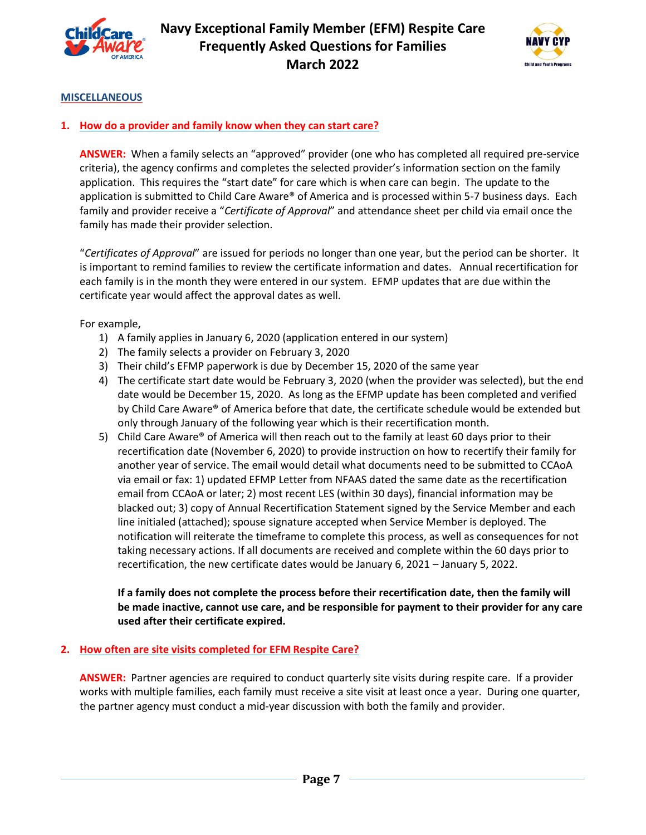



#### **MISCELLANEOUS**

#### **1. How do a provider and family know when they can start care?**

**ANSWER:** When a family selects an "approved" provider (one who has completed all required pre-service criteria), the agency confirms and completes the selected provider's information section on the family application. This requires the "start date" for care which is when care can begin. The update to the application is submitted to Child Care Aware® of America and is processed within 5-7 business days. Each family and provider receive a "*Certificate of Approval*" and attendance sheet per child via email once the family has made their provider selection.

"*Certificates of Approval*" are issued for periods no longer than one year, but the period can be shorter. It is important to remind families to review the certificate information and dates. Annual recertification for each family is in the month they were entered in our system. EFMP updates that are due within the certificate year would affect the approval dates as well.

For example,

- 1) A family applies in January 6, 2020 (application entered in our system)
- 2) The family selects a provider on February 3, 2020
- 3) Their child's EFMP paperwork is due by December 15, 2020 of the same year
- 4) The certificate start date would be February 3, 2020 (when the provider was selected), but the end date would be December 15, 2020. As long as the EFMP update has been completed and verified by Child Care Aware® of America before that date, the certificate schedule would be extended but only through January of the following year which is their recertification month.
- 5) Child Care Aware® of America will then reach out to the family at least 60 days prior to their recertification date (November 6, 2020) to provide instruction on how to recertify their family for another year of service. The email would detail what documents need to be submitted to CCAoA via email or fax: 1) updated EFMP Letter from NFAAS dated the same date as the recertification email from CCAoA or later; 2) most recent LES (within 30 days), financial information may be blacked out; 3) copy of Annual Recertification Statement signed by the Service Member and each line initialed (attached); spouse signature accepted when Service Member is deployed. The notification will reiterate the timeframe to complete this process, as well as consequences for not taking necessary actions. If all documents are received and complete within the 60 days prior to recertification, the new certificate dates would be January 6, 2021 – January 5, 2022.

# **If a family does not complete the process before their recertification date, then the family will be made inactive, cannot use care, and be responsible for payment to their provider for any care used after their certificate expired.**

#### **2. How often are site visits completed for EFM Respite Care?**

**ANSWER:** Partner agencies are required to conduct quarterly site visits during respite care. If a provider works with multiple families, each family must receive a site visit at least once a year. During one quarter, the partner agency must conduct a mid-year discussion with both the family and provider.